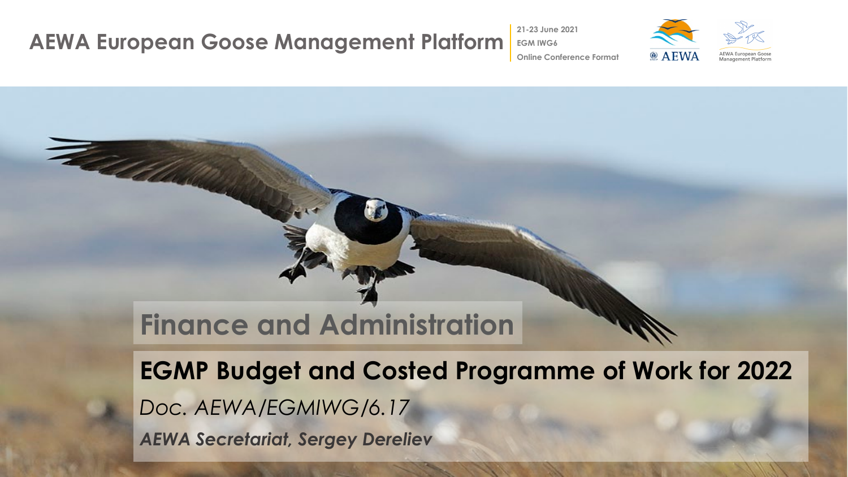#### **AEWA European Goose Management Platform EGM IWG6**

The Collection

**21-23 June 2021**



**Online Conference Format**

## **Finance and Administration**

**EGMP Budget and Costed Programme of Work for 2022** *Doc. AEWA/EGMIWG/6.17 AEWA Secretariat, Sergey Dereliev*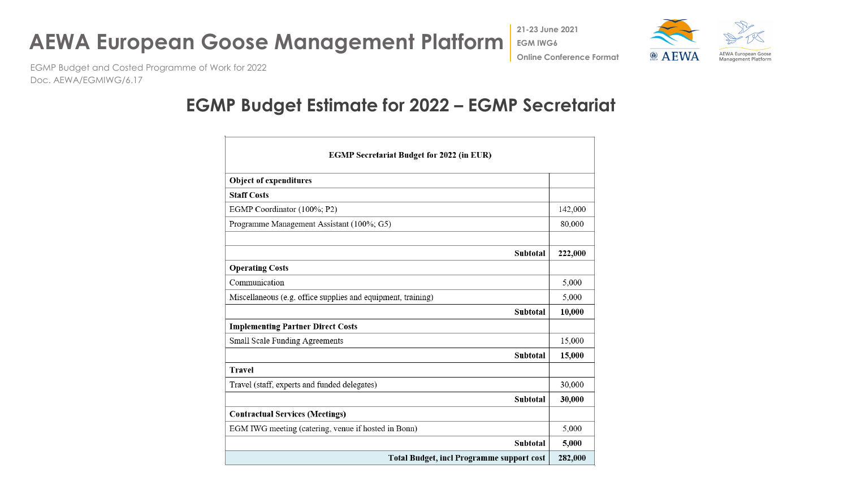

**21-23 June 2021**



EGMP Budget and Costed Programme of Work for 2022 Doc. AEWA/EGMIWG/6.17

### **EGMP Budget Estimate for 2022 – EGMP Secretariat**

| <b>EGMP Secretariat Budget for 2022 (in EUR)</b>             |         |  |
|--------------------------------------------------------------|---------|--|
| <b>Object of expenditures</b>                                |         |  |
| <b>Staff Costs</b>                                           |         |  |
| EGMP Coordinator (100%; P2)                                  | 142,000 |  |
| Programme Management Assistant (100%; G5)                    | 80,000  |  |
|                                                              |         |  |
| Subtotal                                                     | 222,000 |  |
| <b>Operating Costs</b>                                       |         |  |
| Communication                                                | 5,000   |  |
| Miscellaneous (e.g. office supplies and equipment, training) | 5,000   |  |
| Subtotal                                                     | 10,000  |  |
| <b>Implementing Partner Direct Costs</b>                     |         |  |
| Small Scale Funding Agreements                               | 15,000  |  |
| Subtotal                                                     | 15,000  |  |
| <b>Travel</b>                                                |         |  |
| Travel (staff, experts and funded delegates)                 | 30,000  |  |
| Subtotal                                                     | 30,000  |  |
| <b>Contractual Services (Meetings)</b>                       |         |  |
| EGM IWG meeting (catering, venue if hosted in Bonn)          | 5,000   |  |
| Subtotal                                                     | 5,000   |  |
| <b>Total Budget, incl Programme support cost</b>             | 282,000 |  |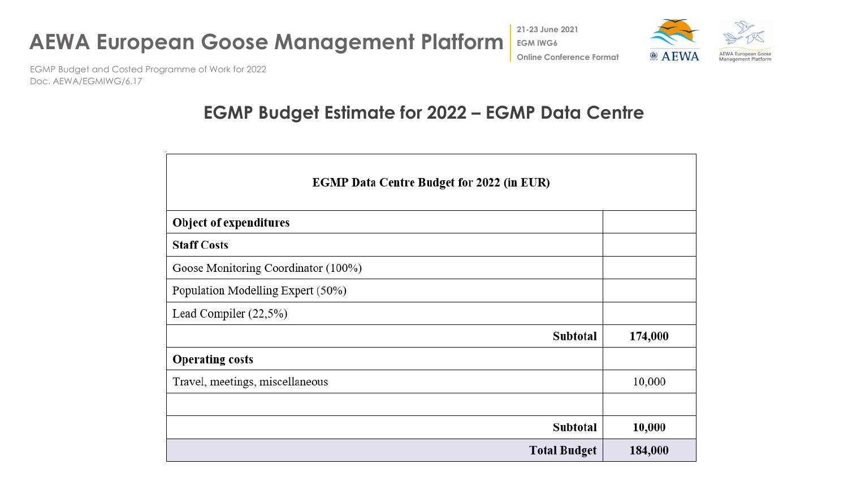





EGMP Budget and Costed Programme of Work for 2022 Doc. AEWA/EGMIWG/6.17

### **EGMP Budget Estimate for 2022 – EGMP Data Centre**

| <b>EGMP Data Centre Budget for 2022 (in EUR)</b> |         |  |
|--------------------------------------------------|---------|--|
| <b>Object of expenditures</b>                    |         |  |
| <b>Staff Costs</b>                               |         |  |
| Goose Monitoring Coordinator (100%)              |         |  |
| Population Modelling Expert (50%)                |         |  |
| Lead Compiler (22,5%)                            |         |  |
| Subtotal                                         | 174,000 |  |
| <b>Operating costs</b>                           |         |  |
| Travel, meetings, miscellaneous                  | 10,000  |  |
|                                                  |         |  |
| <b>Subtotal</b>                                  | 10,000  |  |
| <b>Total Budget</b>                              | 184,000 |  |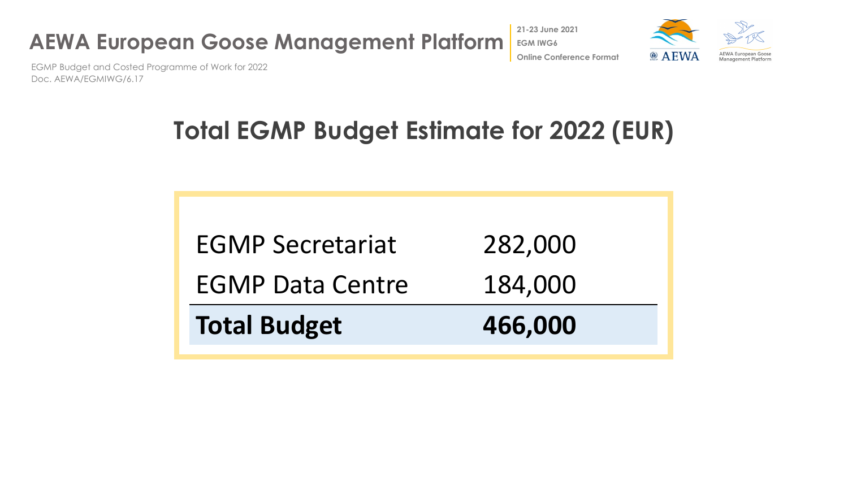

**@ AEWA Online Conference Format**



EGMP Budget and Costed Programme of Work for 2022 Doc. AEWA/EGMIWG/6.17

# **Total EGMP Budget Estimate for 2022 (EUR)**

| <b>EGMP Secretariat</b> | 282,000 |
|-------------------------|---------|
| <b>EGMP Data Centre</b> | 184,000 |
| <b>Total Budget</b>     | 466,000 |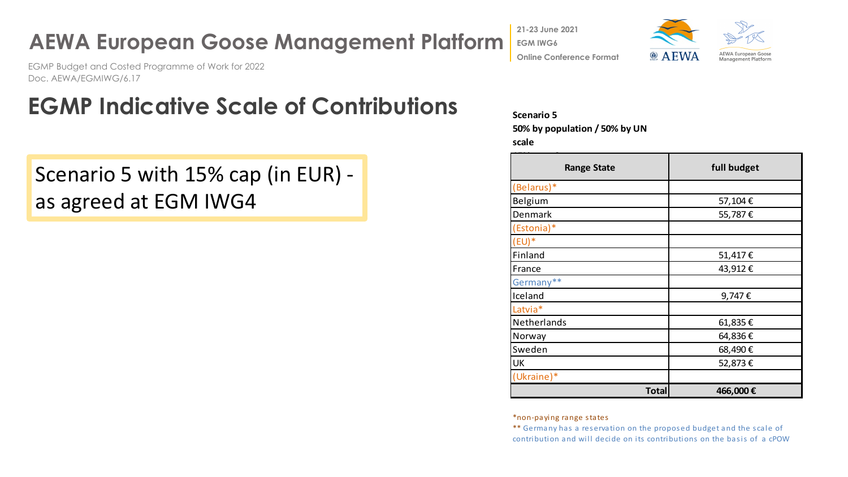## **AEWA European Goose Management Platform**

EGMP Budget and Costed Programme of Work for 2022 Doc. AEWA/EGMIWG/6.17

## **EGMP Indicative Scale of Contributions**

Scenario 5 with 15% cap (in EUR) as agreed at EGM IWG4

**21-23 June 2021**

**EGM IWG6**



**Online Conference Format**

#### **Scenario 5**

**50% by population / 50% by UN** 

**scale**

| <b>Range State</b> | full budget |
|--------------------|-------------|
| (Belarus)*         |             |
| Belgium            | 57,104€     |
| Denmark            | 55,787€     |
| (Estonia)*         |             |
| $(EU)^*$           |             |
| Finland            | 51,417€     |
| France             | 43,912€     |
| Germany**          |             |
| Iceland            | 9,747€      |
| Latvia*            |             |
| Netherlands        | 61,835€     |
| Norway             | 64,836€     |
| Sweden             | 68,490€     |
| <b>UK</b>          | 52,873€     |
| (Ukraine)*         |             |
| <b>Total</b>       | 466,000€    |

\*non-paying range states

\*\* Germany has a reservation on the proposed budget and the scale of contribution and will decide on its contributions on the basis of a cPOW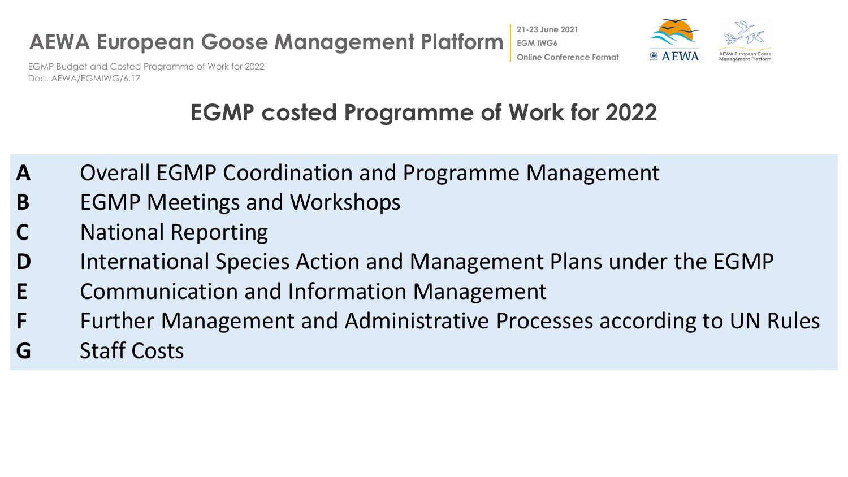



EGMP Budget and Costed Programme of Work for 2022 Doc. AEWA/EGMIWG/6.17

## **EGMP costed Programme of Work for 2022**

- **A** Overall EGMP Coordination and Programme Management
- **B** EGMP Meetings and Workshops
- **National Reporting**
- **D** International Species Action and Management Plans under the EGMP
- **E** Communication and Information Management
- **F** Further Management and Administrative Processes according to UN Rules
- **G** Staff Costs